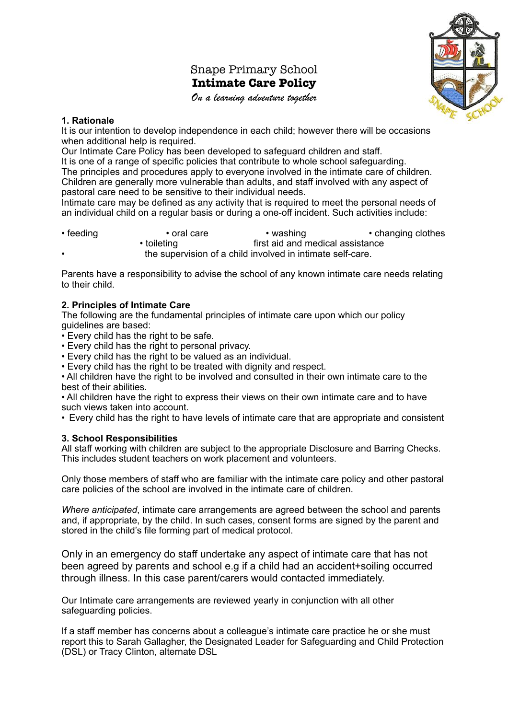### Snape Primary School **Intimate Care Policy**





#### **1. Rationale**

It is our intention to develop independence in each child; however there will be occasions when additional help is required.

Our Intimate Care Policy has been developed to safeguard children and staff. It is one of a range of specific policies that contribute to whole school safeguarding. The principles and procedures apply to everyone involved in the intimate care of children. Children are generally more vulnerable than adults, and staff involved with any aspect of pastoral care need to be sensitive to their individual needs.

Intimate care may be defined as any activity that is required to meet the personal needs of an individual child on a regular basis or during a one-off incident. Such activities include:

| $\cdot$ feeding | • oral care                                                | • washing                        | • changing clothes |
|-----------------|------------------------------------------------------------|----------------------------------|--------------------|
|                 | • toileting                                                | first aid and medical assistance |                    |
|                 | the supervision of a child involved in intimate self-care. |                                  |                    |

Parents have a responsibility to advise the school of any known intimate care needs relating to their child.

### **2. Principles of Intimate Care**

The following are the fundamental principles of intimate care upon which our policy guidelines are based:

• Every child has the right to be safe.

- Every child has the right to personal privacy.
- Every child has the right to be valued as an individual.

• Every child has the right to be treated with dignity and respect.

• All children have the right to be involved and consulted in their own intimate care to the best of their abilities.

• All children have the right to express their views on their own intimate care and to have such views taken into account.

• Every child has the right to have levels of intimate care that are appropriate and consistent

#### **3. School Responsibilities**

All staff working with children are subject to the appropriate Disclosure and Barring Checks. This includes student teachers on work placement and volunteers.

Only those members of staff who are familiar with the intimate care policy and other pastoral care policies of the school are involved in the intimate care of children.

*Where anticipated*, intimate care arrangements are agreed between the school and parents and, if appropriate, by the child. In such cases, consent forms are signed by the parent and stored in the child's file forming part of medical protocol.

Only in an emergency do staff undertake any aspect of intimate care that has not been agreed by parents and school e.g if a child had an accident+soiling occurred through illness. In this case parent/carers would contacted immediately.

Our Intimate care arrangements are reviewed yearly in conjunction with all other safeguarding policies.

If a staff member has concerns about a colleague's intimate care practice he or she must report this to Sarah Gallagher, the Designated Leader for Safeguarding and Child Protection (DSL) or Tracy Clinton, alternate DSL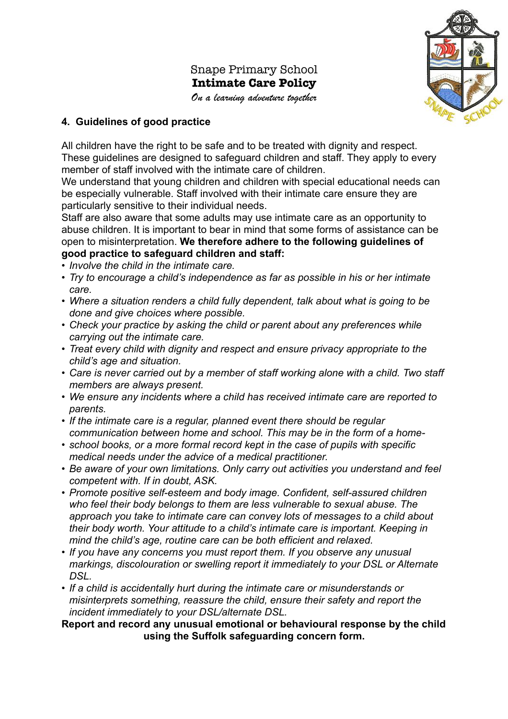# Snape Primary School **Intimate Care Policy**

*On a learning adventure together*



### **4. Guidelines of good practice**

All children have the right to be safe and to be treated with dignity and respect. These guidelines are designed to safeguard children and staff. They apply to every member of staff involved with the intimate care of children.

We understand that young children and children with special educational needs can be especially vulnerable. Staff involved with their intimate care ensure they are particularly sensitive to their individual needs.

Staff are also aware that some adults may use intimate care as an opportunity to abuse children. It is important to bear in mind that some forms of assistance can be open to misinterpretation. **We therefore adhere to the following guidelines of good practice to safeguard children and staff:**

- *Involve the child in the intimate care.*
- *• Try to encourage a child's independence as far as possible in his or her intimate care.*
- *• Where a situation renders a child fully dependent, talk about what is going to be done and give choices where possible.*
- *• Check your practice by asking the child or parent about any preferences while carrying out the intimate care.*
- *• Treat every child with dignity and respect and ensure privacy appropriate to the child's age and situation.*
- *• Care is never carried out by a member of staff working alone with a child. Two staff members are always present.*
- *• We ensure any incidents where a child has received intimate care are reported to parents.*
- *If the intimate care is a regular, planned event there should be regular communication between home and school. This may be in the form of a home-*
- *school books, or a more formal record kept in the case of pupils with specific medical needs under the advice of a medical practitioner.*
- *• Be aware of your own limitations. Only carry out activities you understand and feel competent with. If in doubt, ASK.*
- *• Promote positive self-esteem and body image. Confident, self-assured children who feel their body belongs to them are less vulnerable to sexual abuse. The approach you take to intimate care can convey lots of messages to a child about their body worth. Your attitude to a child's intimate care is important. Keeping in mind the child's age, routine care can be both efficient and relaxed.*
- *• If you have any concerns you must report them. If you observe any unusual markings, discolouration or swelling report it immediately to your DSL or Alternate DSL.*
- *• If a child is accidentally hurt during the intimate care or misunderstands or misinterprets something, reassure the child, ensure their safety and report the incident immediately to your DSL/alternate DSL.*

**Report and record any unusual emotional or behavioural response by the child using the Suffolk safeguarding concern form.**